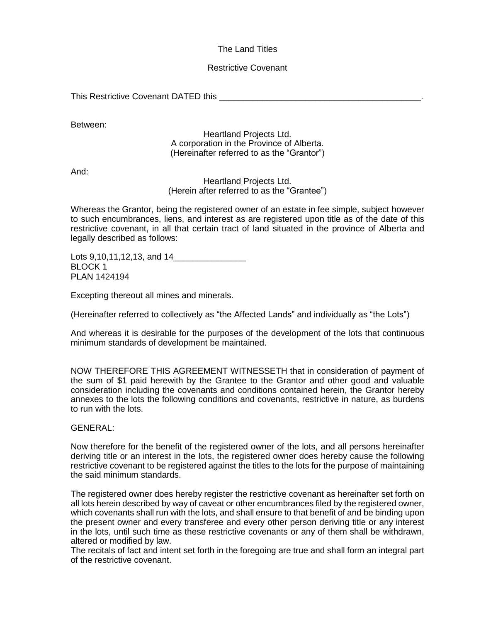### The Land Titles

#### Restrictive Covenant

This Restrictive Covenant DATED this

Between:

Heartland Projects Ltd. A corporation in the Province of Alberta. (Hereinafter referred to as the "Grantor")

And:

Heartland Projects Ltd. (Herein after referred to as the "Grantee")

Whereas the Grantor, being the registered owner of an estate in fee simple, subject however to such encumbrances, liens, and interest as are registered upon title as of the date of this restrictive covenant, in all that certain tract of land situated in the province of Alberta and legally described as follows:

Lots 9,10,11,12,13, and 14\_\_\_\_\_\_\_\_\_\_\_\_\_\_\_ BLOCK 1 PLAN 1424194

Excepting thereout all mines and minerals.

(Hereinafter referred to collectively as "the Affected Lands" and individually as "the Lots")

And whereas it is desirable for the purposes of the development of the lots that continuous minimum standards of development be maintained.

NOW THEREFORE THIS AGREEMENT WITNESSETH that in consideration of payment of the sum of \$1 paid herewith by the Grantee to the Grantor and other good and valuable consideration including the covenants and conditions contained herein, the Grantor hereby annexes to the lots the following conditions and covenants, restrictive in nature, as burdens to run with the lots.

GENERAL:

Now therefore for the benefit of the registered owner of the lots, and all persons hereinafter deriving title or an interest in the lots, the registered owner does hereby cause the following restrictive covenant to be registered against the titles to the lots for the purpose of maintaining the said minimum standards.

The registered owner does hereby register the restrictive covenant as hereinafter set forth on all lots herein described by way of caveat or other encumbrances filed by the registered owner, which covenants shall run with the lots, and shall ensure to that benefit of and be binding upon the present owner and every transferee and every other person deriving title or any interest in the lots, until such time as these restrictive covenants or any of them shall be withdrawn, altered or modified by law.

The recitals of fact and intent set forth in the foregoing are true and shall form an integral part of the restrictive covenant.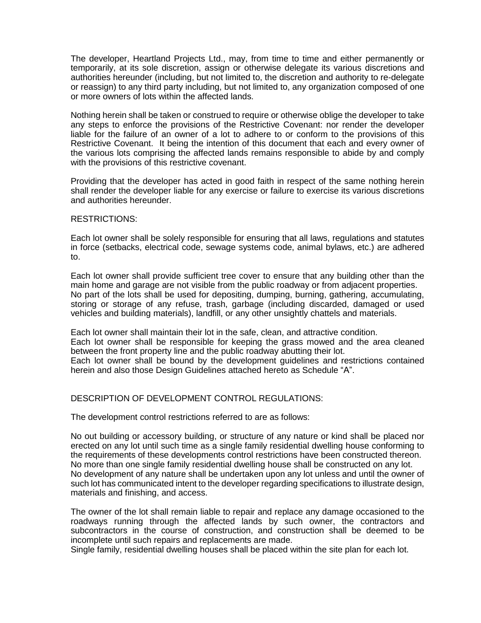The developer, Heartland Projects Ltd., may, from time to time and either permanently or temporarily, at its sole discretion, assign or otherwise delegate its various discretions and authorities hereunder (including, but not limited to, the discretion and authority to re-delegate or reassign) to any third party including, but not limited to, any organization composed of one or more owners of lots within the affected lands.

Nothing herein shall be taken or construed to require or otherwise oblige the developer to take any steps to enforce the provisions of the Restrictive Covenant: nor render the developer liable for the failure of an owner of a lot to adhere to or conform to the provisions of this Restrictive Covenant. It being the intention of this document that each and every owner of the various lots comprising the affected lands remains responsible to abide by and comply with the provisions of this restrictive covenant.

Providing that the developer has acted in good faith in respect of the same nothing herein shall render the developer liable for any exercise or failure to exercise its various discretions and authorities hereunder.

#### RESTRICTIONS:

Each lot owner shall be solely responsible for ensuring that all laws, regulations and statutes in force (setbacks, electrical code, sewage systems code, animal bylaws, etc.) are adhered to.

Each lot owner shall provide sufficient tree cover to ensure that any building other than the main home and garage are not visible from the public roadway or from adjacent properties. No part of the lots shall be used for depositing, dumping, burning, gathering, accumulating, storing or storage of any refuse, trash, garbage (including discarded, damaged or used vehicles and building materials), landfill, or any other unsightly chattels and materials.

Each lot owner shall maintain their lot in the safe, clean, and attractive condition. Each lot owner shall be responsible for keeping the grass mowed and the area cleaned between the front property line and the public roadway abutting their lot. Each lot owner shall be bound by the development guidelines and restrictions contained herein and also those Design Guidelines attached hereto as Schedule "A".

#### DESCRIPTION OF DEVELOPMENT CONTROL REGULATIONS:

The development control restrictions referred to are as follows:

No out building or accessory building, or structure of any nature or kind shall be placed nor erected on any lot until such time as a single family residential dwelling house conforming to the requirements of these developments control restrictions have been constructed thereon. No more than one single family residential dwelling house shall be constructed on any lot. No development of any nature shall be undertaken upon any lot unless and until the owner of such lot has communicated intent to the developer regarding specifications to illustrate design, materials and finishing, and access.

The owner of the lot shall remain liable to repair and replace any damage occasioned to the roadways running through the affected lands by such owner, the contractors and subcontractors in the course of construction, and construction shall be deemed to be incomplete until such repairs and replacements are made.

Single family, residential dwelling houses shall be placed within the site plan for each lot.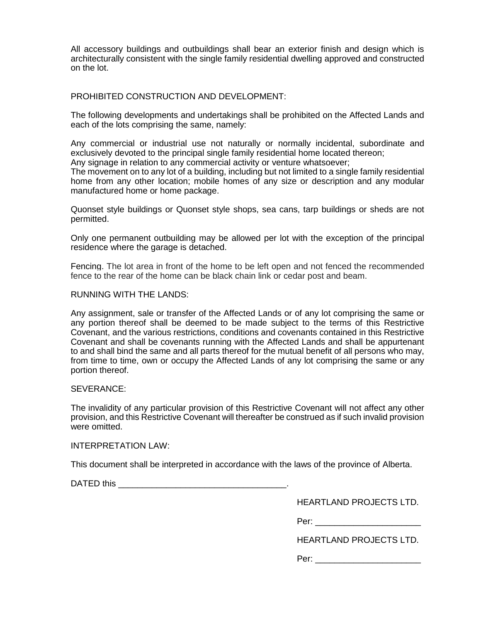All accessory buildings and outbuildings shall bear an exterior finish and design which is architecturally consistent with the single family residential dwelling approved and constructed on the lot.

#### PROHIBITED CONSTRUCTION AND DEVELOPMENT:

The following developments and undertakings shall be prohibited on the Affected Lands and each of the lots comprising the same, namely:

Any commercial or industrial use not naturally or normally incidental, subordinate and exclusively devoted to the principal single family residential home located thereon; Any signage in relation to any commercial activity or venture whatsoever;

The movement on to any lot of a building, including but not limited to a single family residential home from any other location; mobile homes of any size or description and any modular manufactured home or home package.

Quonset style buildings or Quonset style shops, sea cans, tarp buildings or sheds are not permitted.

Only one permanent outbuilding may be allowed per lot with the exception of the principal residence where the garage is detached.

Fencing. The lot area in front of the home to be left open and not fenced the recommended fence to the rear of the home can be black chain link or cedar post and beam.

#### RUNNING WITH THE LANDS:

Any assignment, sale or transfer of the Affected Lands or of any lot comprising the same or any portion thereof shall be deemed to be made subject to the terms of this Restrictive Covenant, and the various restrictions, conditions and covenants contained in this Restrictive Covenant and shall be covenants running with the Affected Lands and shall be appurtenant to and shall bind the same and all parts thereof for the mutual benefit of all persons who may, from time to time, own or occupy the Affected Lands of any lot comprising the same or any portion thereof.

#### SEVERANCE:

The invalidity of any particular provision of this Restrictive Covenant will not affect any other provision, and this Restrictive Covenant will thereafter be construed as if such invalid provision were omitted.

#### INTERPRETATION LAW:

This document shall be interpreted in accordance with the laws of the province of Alberta.

DATED this **Example 20** and  $\overline{a}$  and  $\overline{b}$  and  $\overline{c}$  and  $\overline{d}$  and  $\overline{b}$  and  $\overline{a}$  and  $\overline{a}$  and  $\overline{a}$  and  $\overline{a}$  and  $\overline{a}$  and  $\overline{a}$  and  $\overline{a}$  and  $\overline{a}$  and  $\overline{a}$  and  $\overline{a}$  and

HEARTLAND PROJECTS LTD.

Per: \_\_\_\_\_\_\_\_\_\_\_\_\_\_\_\_\_\_\_\_\_\_

HEARTLAND PROJECTS LTD.

Per: \_\_\_\_\_\_\_\_\_\_\_\_\_\_\_\_\_\_\_\_\_\_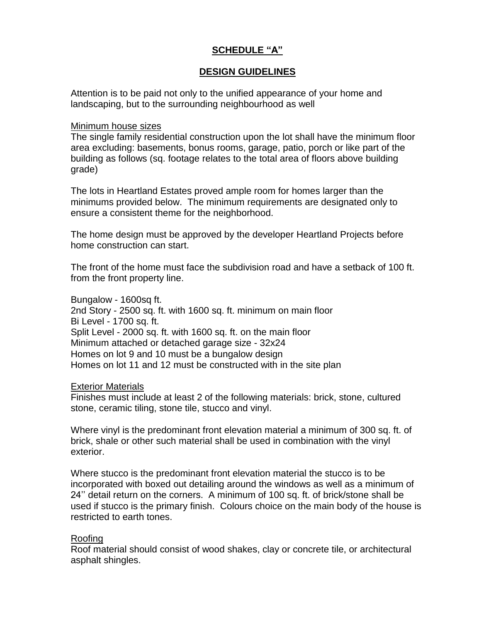# **SCHEDULE "A"**

# **DESIGN GUIDELINES**

Attention is to be paid not only to the unified appearance of your home and landscaping, but to the surrounding neighbourhood as well

### Minimum house sizes

The single family residential construction upon the lot shall have the minimum floor area excluding: basements, bonus rooms, garage, patio, porch or like part of the building as follows (sq. footage relates to the total area of floors above building grade)

The lots in Heartland Estates proved ample room for homes larger than the minimums provided below. The minimum requirements are designated only to ensure a consistent theme for the neighborhood.

The home design must be approved by the developer Heartland Projects before home construction can start.

The front of the home must face the subdivision road and have a setback of 100 ft. from the front property line.

Bungalow - 1600sq ft. 2nd Story - 2500 sq. ft. with 1600 sq. ft. minimum on main floor Bi Level - 1700 sq. ft. Split Level - 2000 sq. ft. with 1600 sq. ft. on the main floor Minimum attached or detached garage size - 32x24 Homes on lot 9 and 10 must be a bungalow design Homes on lot 11 and 12 must be constructed with in the site plan

## Exterior Materials

Finishes must include at least 2 of the following materials: brick, stone, cultured stone, ceramic tiling, stone tile, stucco and vinyl.

Where vinyl is the predominant front elevation material a minimum of 300 sq. ft. of brick, shale or other such material shall be used in combination with the vinyl exterior.

Where stucco is the predominant front elevation material the stucco is to be incorporated with boxed out detailing around the windows as well as a minimum of 24'' detail return on the corners. A minimum of 100 sq. ft. of brick/stone shall be used if stucco is the primary finish. Colours choice on the main body of the house is restricted to earth tones.

## Roofing

Roof material should consist of wood shakes, clay or concrete tile, or architectural asphalt shingles.